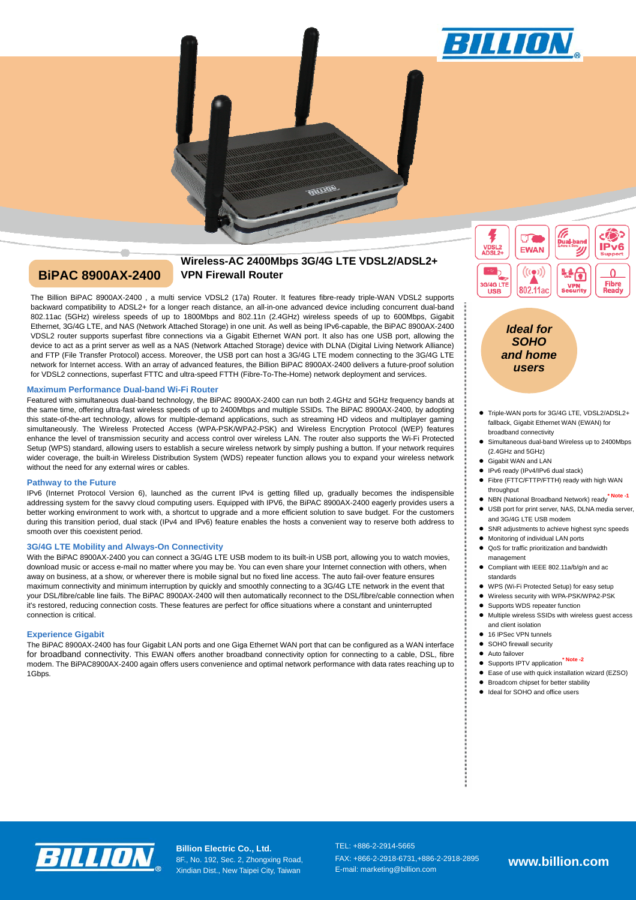

# **BiPAC 8900AX-2400 VPN Firewall Router**

Ï

# **Wireless-AC 2400Mbps 3G/4G LTE VDSL2/ADSL2+**

The Billion BiPAC 8900AX-2400 , a multi service VDSL2 (17a) Router. It features fibre-ready triple-WAN VDSL2 supports backward compatibility to ADSL2+ for a longer reach distance, an all-in-one advanced device including concurrent dual-band 802.11ac (5GHz) wireless speeds of up to 1800Mbps and 802.11n (2.4GHz) wireless speeds of up to 600Mbps, Gigabit Ethernet, 3G/4G LTE, and NAS (Network Attached Storage) in one unit. As well as being IPv6-capable, the BiPAC 8900AX-2400 VDSL2 router supports superfast fibre connections via a Gigabit Ethernet WAN port. It also has one USB port, allowing the device to act as a print server as well as a NAS (Network Attached Storage) device with DLNA (Digital Living Network Alliance) and FTP (File Transfer Protocol) access. Moreover, the USB port can host a 3G/4G LTE modem connecting to the 3G/4G LTE network for Internet access. With an array of advanced features, the Billion BiPAC 8900AX-2400 delivers a future-proof solution for VDSL2 connections, superfast FTTC and ultra-speed FTTH (Fibre-To-The-Home) network deployment and services.

#### **Maximum Performance Dual-band Wi-Fi Router**

Featured with simultaneous dual-band technology, the BiPAC 8900AX-2400 can run both 2.4GHz and 5GHz frequency bands at the same time, offering ultra-fast wireless speeds of up to 2400Mbps and multiple SSIDs. The BiPAC 8900AX-2400, by adopting this state-of-the-art technology, allows for multiple-demand applications, such as streaming HD videos and multiplayer gaming simultaneously. The Wireless Protected Access (WPA-PSK/WPA2-PSK) and Wireless Encryption Protocol (WEP) features enhance the level of transmission security and access control over wireless LAN. The router also supports the Wi-Fi Protected Setup (WPS) standard, allowing users to establish a secure wireless network by simply pushing a button. If your network requires wider coverage, the built-in Wireless Distribution System (WDS) repeater function allows you to expand your wireless network without the need for any external wires or cables.

#### **Pathway to the Future**

IPv6 (Internet Protocol Version 6), launched as the current IPv4 is getting filled up, gradually becomes the indispensible addressing system for the savvy cloud computing users. Equipped with IPV6, the BiPAC 8900AX-2400 eagerly provides users a better working environment to work with, a shortcut to upgrade and a more efficient solution to save budget. For the customers during this transition period, dual stack (IPv4 and IPv6) feature enables the hosts a convenient way to reserve both address to smooth over this coexistent period.

#### **3G/4G LTE Mobility and Always-On Connectivity**

With the BiPAC 8900AX-2400 you can connect a 3G/4G LTE USB modem to its built-in USB port, allowing you to watch movies, download music or access e-mail no matter where you may be. You can even share your Internet connection with others, when away on business, at a show, or wherever there is mobile signal but no fixed line access. The auto fail-over feature ensures maximum connectivity and minimum interruption by quickly and smoothly connecting to a 3G/4G LTE network in the event that your DSL/fibre/cable line fails. The BiPAC 8900AX-2400 will then automatically reconnect to the DSL/fibre/cable connection when it's restored, reducing connection costs. These features are perfect for office situations where a constant and uninterrupted connection is critical.

#### **Experience Gigabit**

The BiPAC 8900AX-2400 has four Gigabit LAN ports and one Giga Ethernet WAN port that can be configured as a WAN interface for broadband connectivity. This EWAN offers another broadband connectivity option for connecting to a cable, DSL, fibre modem. The BiPAC8900AX-2400 again offers users convenience and optimal network performance with data rates reaching up to 1Gbps.



*Ideal for SOHO and home users* 

- $\bullet$  Triple-WAN ports for 3G/4G LTE, VDSL2/ADSL2+ fallback, Gigabit Ethernet WAN (EWAN) for broadband connectivity
- Simultaneous dual-band Wireless up to 2400Mbps (2.4GHz and 5GHz)
- Gigabit WAN and LAN
- IPv6 ready (IPv4/IPv6 dual stack)
- Fibre (FTTC/FTTP/FTTH) ready with high WAN throughput
- **NBN (National Broadband Network) ready** USB port for print server, NAS, DLNA media server
- and 3G/4G LTE USB modem
- SNR adjustments to achieve highest sync speeds
- $\bullet$  Monitoring of individual LAN ports  $\bullet$  QoS for traffic prioritization and bandwidth
- management Compliant with IEEE 802.11a/b/g/n and ac
- standards WPS (Wi-Fi Protected Setup) for easy setup
- $\bullet$  Wireless security with WPA-PSK/WPA2-PSK
- Supports WDS repeater function
- Multiple wireless SSIDs with wireless guest access and client isolation
- **•** 16 IPSec VPN tunnels
- SOHO firewall security
- $\bullet$  Auto failover
- Supports IPTV application<sup>\* Note -2</sup>
- Ease of use with quick installation wizard (EZSO)
- **•** Broadcom chipset for better stability
- Ideal for SOHO and office users



**Billion Electric Co., Ltd.**  8F., No. 192, Sec. 2, Zhongxing Road, Xindian Dist., New Taipei City, Taiwan

TEL: +886-2-2914-5665 FAX: +866-2-2918-6731,+886-2-2918-2895 E-mail: marketing@billion.com